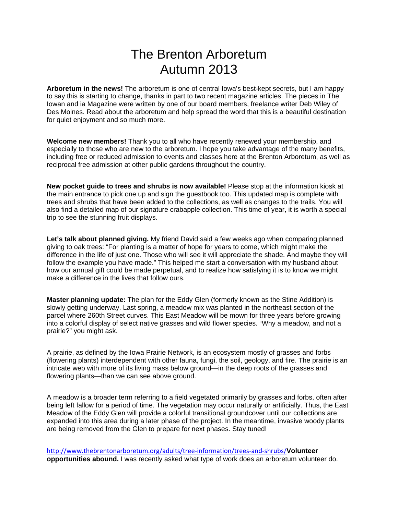# The Brenton Arboretum Autumn 2013

**Arboretum in the news!** The arboretum is one of central Iowa's best-kept secrets, but I am happy to say this is starting to change, thanks in part to two recent magazine articles. The pieces in The Iowan and ia Magazine were written by one of our board members, freelance writer Deb Wiley of Des Moines. Read about the arboretum and help spread the word that this is a beautiful destination for quiet enjoyment and so much more.

**Welcome new members!** Thank you to all who have recently renewed your membership, and especially to those who are new to the arboretum. I hope you take advantage of the many benefits, including free or reduced admission to events and classes here at the Brenton Arboretum, as well as reciprocal free admission at other public gardens throughout the country.

**New pocket guide to trees and shrubs is now available!** Please stop at the information kiosk at the main entrance to pick one up and sign the guestbook too. This updated map is complete with trees and shrubs that have been added to the collections, as well as changes to the trails. You will also find a detailed map of our signature crabapple collection. This time of year, it is worth a special trip to see the stunning fruit displays.

**Let's talk about planned giving.** My friend David said a few weeks ago when comparing planned giving to oak trees: "For planting is a matter of hope for years to come, which might make the difference in the life of just one. Those who will see it will appreciate the shade. And maybe they will follow the example you have made." This helped me start a conversation with my husband about how our annual gift could be made perpetual, and to realize how satisfying it is to know we might make a difference in the lives that follow ours.

**Master planning update:** The plan for the Eddy Glen (formerly known as the Stine Addition) is slowly getting underway. Last spring, a meadow mix was planted in the northeast section of the parcel where 260th Street curves. This East Meadow will be mown for three years before growing into a colorful display of select native grasses and wild flower species. "Why a meadow, and not a prairie?" you might ask.

A prairie, as defined by the Iowa Prairie Network, is an ecosystem mostly of grasses and forbs (flowering plants) interdependent with other fauna, fungi, the soil, geology, and fire. The prairie is an intricate web with more of its living mass below ground—in the deep roots of the grasses and flowering plants—than we can see above ground.

A meadow is a broader term referring to a field vegetated primarily by grasses and forbs, often after being left fallow for a period of time. The vegetation may occur naturally or artificially. Thus, the East Meadow of the Eddy Glen will provide a colorful transitional groundcover until our collections are expanded into this area during a later phase of the project. In the meantime, invasive woody plants are being removed from the Glen to prepare for next phases. Stay tuned!

http://www.thebrentonarboretum.org/adults/tree-information/trees-and-shrubs/**Volunteer opportunities abound.** I was recently asked what type of work does an arboretum volunteer do.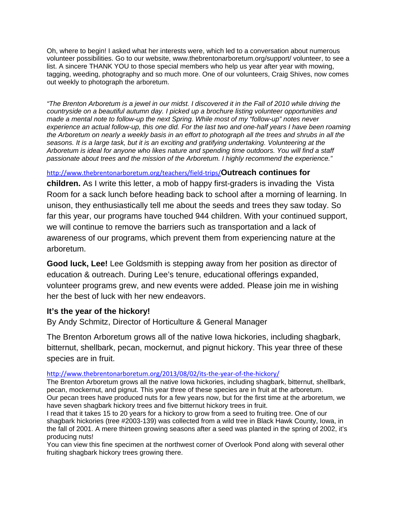Oh, where to begin! I asked what her interests were, which led to a conversation about numerous volunteer possibilities. Go to our website, www.thebrentonarboretum.org/support/ volunteer, to see a list. A sincere THANK YOU to those special members who help us year after year with mowing, tagging, weeding, photography and so much more. One of our volunteers, Craig Shives, now comes out weekly to photograph the arboretum.

*"The Brenton Arboretum is a jewel in our midst. I discovered it in the Fall of 2010 while driving the countryside on a beautiful autumn day. I picked up a brochure listing volunteer opportunities and made a mental note to follow-up the next Spring. While most of my "follow-up" notes never experience an actual follow-up, this one did. For the last two and one-half years I have been roaming the Arboretum on nearly a weekly basis in an effort to photograph all the trees and shrubs in all the seasons. It is a large task, but it is an exciting and gratifying undertaking. Volunteering at the Arboretum is ideal for anyone who likes nature and spending time outdoors. You will find a staff passionate about trees and the mission of the Arboretum. I highly recommend the experience."*

### http://www.thebrentonarboretum.org/teachers/field-trips/**Outreach continues for**

**children.** As I write this letter, a mob of happy first-graders is invading the Vista Room for a sack lunch before heading back to school after a morning of learning. In unison, they enthusiastically tell me about the seeds and trees they saw today. So far this year, our programs have touched 944 children. With your continued support, we will continue to remove the barriers such as transportation and a lack of awareness of our programs, which prevent them from experiencing nature at the arboretum.

**Good luck, Lee!** Lee Goldsmith is stepping away from her position as director of education & outreach. During Lee's tenure, educational offerings expanded, volunteer programs grew, and new events were added. Please join me in wishing her the best of luck with her new endeavors.

# **It's the year of the hickory!**

By Andy Schmitz, Director of Horticulture & General Manager

The Brenton Arboretum grows all of the native Iowa hickories, including shagbark, bitternut, shellbark, pecan, mockernut, and pignut hickory. This year three of these species are in fruit.

#### http://www.thebrentonarboretum.org/2013/08/02/its-the-year-of-the-hickory/

The Brenton Arboretum grows all the native Iowa hickories, including shagbark, bitternut, shellbark, pecan, mockernut, and pignut. This year three of these species are in fruit at the arboretum. Our pecan trees have produced nuts for a few years now, but for the first time at the arboretum, we have seven shagbark hickory trees and five bitternut hickory trees in fruit.

I read that it takes 15 to 20 years for a hickory to grow from a seed to fruiting tree. One of our shagbark hickories (tree #2003-139) was collected from a wild tree in Black Hawk County, Iowa, in the fall of 2001. A mere thirteen growing seasons after a seed was planted in the spring of 2002, it's producing nuts!

You can view this fine specimen at the northwest corner of Overlook Pond along with several other fruiting shagbark hickory trees growing there.